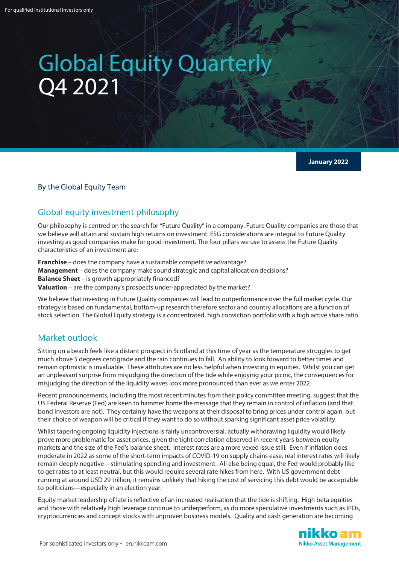# Global Equity Quarterly Q4 2021

**January 2022**

## By the Global Equity Team

# Global equity investment philosophy

Our philosophy is centred on the search for "Future Quality" in a company. Future Quality companies are those that we believe will attain and sustain high returns on investment. ESG considerations are integral to Future Quality investing as good companies make for good investment. The four pillars we use to assess the Future Quality characteristics of an investment are:

**Franchise** – does the company have a sustainable competitive advantage? **Management** – does the company make sound strategic and capital allocation decisions? **Balance Sheet** – is growth appropriately financed? **Valuation** – are the company's prospects under-appreciated by the market?

We believe that investing in Future Quality companies will lead to outperformance over the full market cycle. Our strategy is based on fundamental, bottom-up research therefore sector and country allocations are a function of stock selection. The Global Equity strategy is a concentrated, high conviction portfolio with a high active share ratio.

# Market outlook

Sitting on a beach feels like a distant prospect in Scotland at this time of year as the temperature struggles to get much above 5 degrees centigrade and the rain continues to fall. An ability to look forward to better times and remain optimistic is invaluable. These attributes are no less helpful when investing in equities. Whilst you can get an unpleasant surprise from misjudging the direction of the tide while enjoying your picnic, the consequences for misjudging the direction of the liquidity waves look more pronounced than ever as we enter 2022.

Recent pronouncements, including the most recent minutes from their policy committee meeting, suggest that the US Federal Reserve (Fed) are keen to hammer home the message that they remain in control of inflation (and that bond investors are not). They certainly have the weapons at their disposal to bring prices under control again, but their choice of weapon will be critical if they want to do so without sparking significant asset price volatility.

Whilst tapering ongoing liquidity injections is fairly uncontroversial, actually withdrawing liquidity would likely prove more problematic for asset prices, given the tight correlation observed in recent years between equity markets and the size of the Fed's balance sheet. Interest rates are a more vexed issue still. Even if inflation does moderate in 2022 as some of the short-term impacts of COVID-19 on supply chains ease, real interest rates will likely remain deeply negative—stimulating spending and investment. All else being equal, the Fed would probably like to get rates to at least neutral, but this would require several rate hikes from here. With US government debt running at around USD 29 trillion, it remains unlikely that hiking the cost of servicing this debt would be acceptable to politicians—especially in an election year.

Equity market leadership of late is reflective of an increased realisation that the tide is shifting. High beta equities and those with relatively high leverage continue to underperform, as do more speculative investments such as IPOs, cryptocurrencies and concept stocks with unproven business models. Quality and cash generation are becoming

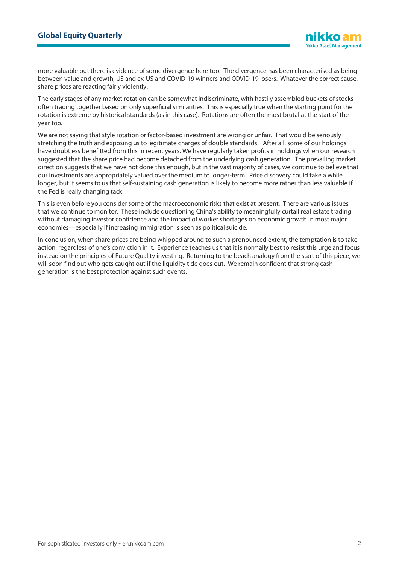more valuable but there is evidence of some divergence here too. The divergence has been characterised as being between value and growth, US and ex-US and COVID-19 winners and COVID-19 losers. Whatever the correct cause, share prices are reacting fairly violently.

The early stages of any market rotation can be somewhat indiscriminate, with hastily assembled buckets of stocks often trading together based on only superficial similarities. This is especially true when the starting point for the rotation is extreme by historical standards (as in this case). Rotations are often the most brutal at the start of the year too.

We are not saying that style rotation or factor-based investment are wrong or unfair. That would be seriously stretching the truth and exposing us to legitimate charges of double standards. After all, some of our holdings have doubtless benefitted from this in recent years. We have regularly taken profits in holdings when our research suggested that the share price had become detached from the underlying cash generation. The prevailing market direction suggests that we have not done this enough, but in the vast majority of cases, we continue to believe that our investments are appropriately valued over the medium to longer-term. Price discovery could take a while longer, but it seems to us that self-sustaining cash generation is likely to become more rather than less valuable if the Fed is really changing tack.

This is even before you consider some of the macroeconomic risks that exist at present. There are various issues that we continue to monitor. These include questioning China's ability to meaningfully curtail real estate trading without damaging investor confidence and the impact of worker shortages on economic growth in most major economies—especially if increasing immigration is seen as political suicide.

In conclusion, when share prices are being whipped around to such a pronounced extent, the temptation is to take action, regardless of one's conviction in it. Experience teaches us that it is normally best to resist this urge and focus instead on the principles of Future Quality investing. Returning to the beach analogy from the start of this piece, we will soon find out who gets caught out if the liquidity tide goes out. We remain confident that strong cash generation is the best protection against such events.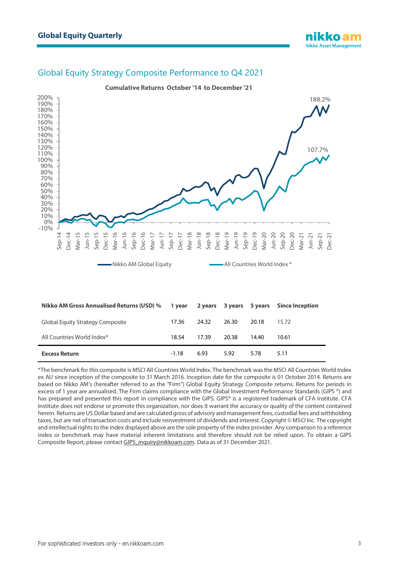# Global Equity Strategy Composite Performance to Q4 2021



\*The benchmark for this composite is MSCI All Countries World Index. The benchmark was the MSCI All Countries World Index ex AU since inception of the composite to 31 March 2016. Inception date for the composite is 01 October 2014. Returns are based on Nikko AM's (hereafter referred to as the "Firm") Global Equity Strategy Composite returns. Returns for periods in excess of 1 year are annualised. The Firm claims compliance with the Global Investment Performance Standards (GIPS ®) and has prepared and presented this report in compliance with the GIPS. GIPS® is a registered trademark of CFA Institute. CFA Institute does not endorse or promote this organization, nor does it warrant the accuracy or quality of the content contained herein. Returns are US Dollar based and are calculated gross of advisory and management fees, custodial fees and withholding taxes, but are net of transaction costs and include reinvestment of dividends and interest. Copyright © MSCI Inc. The copyright and intellectual rights to the index displayed above are the sole property of the index provider. Any comparison to a reference index or benchmark may have material inherent limitations and therefore should not be relied upon. To obtain a GIPS Composite Report, please contac[t GIPS\\_inquiry@nikkoam.com.](mailto:GIPS_inquiry@nikkoam.com) Data as of 31 December 2021.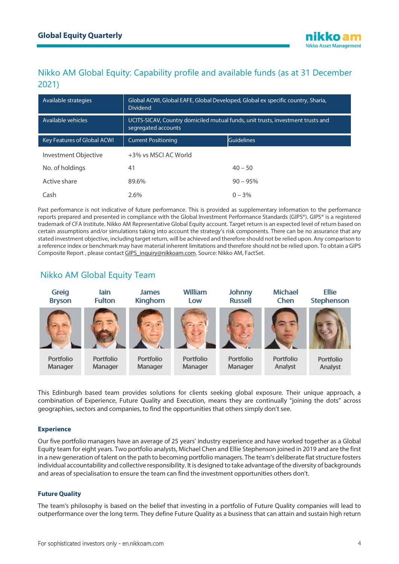# Nikko AM Global Equity: Capability profile and available funds (as at 31 December 2021)

| Available strategies               | Global ACWI, Global EAFE, Global Developed, Global ex specific country, Sharia,<br><b>Dividend</b>     |                   |
|------------------------------------|--------------------------------------------------------------------------------------------------------|-------------------|
| Available vehicles                 | UCITS-SICAV, Country domiciled mutual funds, unit trusts, investment trusts and<br>segregated accounts |                   |
| <b>Key Features of Global ACWI</b> | <b>Current Positioning</b>                                                                             | <b>Guidelines</b> |
| Investment Objective               | +3% vs MSCI AC World                                                                                   |                   |
| No. of holdings                    | 41                                                                                                     | $40 - 50$         |
| Active share                       | 89.6%                                                                                                  | $90 - 95%$        |
| Cash                               | 2.6%                                                                                                   | $0 - 3\%$         |

Past performance is not indicative of future performance. This is provided as supplementary information to the performance reports prepared and presented in compliance with the Global Investment Performance Standards (GIPS®). GIPS® is a registered trademark of CFA Institute. Nikko AM Representative Global Equity account. Target return is an expected level of return based on certain assumptions and/or simulations taking into account the strategy's risk components. There can be no assurance that any stated investment objective, including target return, will be achieved and therefore should not be relied upon. Any comparison to a reference index or benchmark may have material inherent limitations and therefore should not be relied upon. To obtain a GIPS Composite Report , please contact [GIPS\\_inquiry@nikkoam.com.](mailto:GIPS_inquiry@nikkoam.com) Source: Nikko AM, FactSet.

# Nikko AM Global Equity Team



This Edinburgh based team provides solutions for clients seeking global exposure. Their unique approach, a combination of Experience, Future Quality and Execution, means they are continually "joining the dots" across geographies, sectors and companies, to find the opportunities that others simply don't see.

## **Experience**

Our five portfolio managers have an average of 25 years' industry experience and have worked together as a Global Equity team for eight years. Two portfolio analysts, Michael Chen and Ellie Stephenson joined in 2019 and are the first in a new generation of talent on the path to becoming portfolio managers. The team's deliberate flat structure fosters individual accountability and collective responsibility. It is designed to take advantage of the diversity of backgrounds and areas of specialisation to ensure the team can find the investment opportunities others don't.

#### **Future Quality**

The team's philosophy is based on the belief that investing in a portfolio of Future Quality companies will lead to outperformance over the long term. They define Future Quality as a business that can attain and sustain high return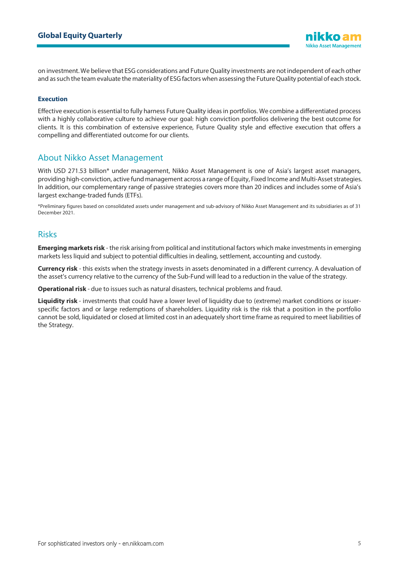on investment. We believe that ESG considerations and Future Quality investments are not independent of each other and as such the team evaluate the materiality of ESG factors when assessing the Future Quality potential of each stock.

#### **Execution**

Effective execution is essential to fully harness Future Quality ideas in portfolios. We combine a differentiated process with a highly collaborative culture to achieve our goal: high conviction portfolios delivering the best outcome for clients. It is this combination of extensive experience, Future Quality style and effective execution that offers a compelling and differentiated outcome for our clients.

# About Nikko Asset Management

With USD 271.53 billion\* under management, Nikko Asset Management is one of Asia's largest asset managers, providing high-conviction, active fund management across a range of Equity, Fixed Income and Multi-Asset strategies. In addition, our complementary range of passive strategies covers more than 20 indices and includes some of Asia's largest exchange-traded funds (ETFs).

\*Preliminary figures based on consolidated assets under management and sub-advisory of Nikko Asset Management and its subsidiaries as of 31 December 2021.

## Risks

**Emerging markets risk** - the risk arising from political and institutional factors which make investments in emerging markets less liquid and subject to potential difficulties in dealing, settlement, accounting and custody.

**Currency risk** - this exists when the strategy invests in assets denominated in a different currency. A devaluation of the asset's currency relative to the currency of the Sub-Fund will lead to a reduction in the value of the strategy.

**Operational risk** - due to issues such as natural disasters, technical problems and fraud.

**Liquidity risk** - investments that could have a lower level of liquidity due to (extreme) market conditions or issuerspecific factors and or large redemptions of shareholders. Liquidity risk is the risk that a position in the portfolio cannot be sold, liquidated or closed at limited cost in an adequately short time frame as required to meet liabilities of the Strategy.

**Nikko Asset Management**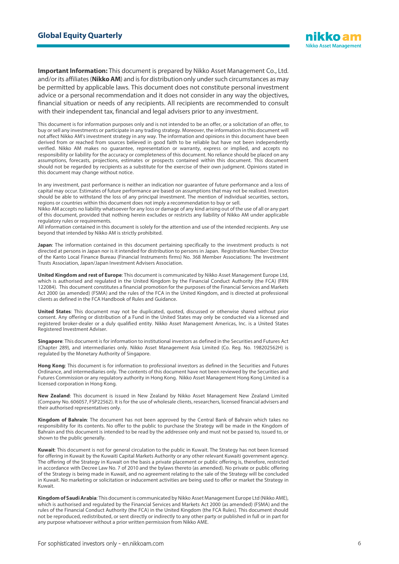

**Important Information:** This document is prepared by Nikko Asset Management Co., Ltd. and/or its affiliates (**Nikko AM**) and is for distribution only under such circumstances as may be permitted by applicable laws. This document does not constitute personal investment advice or a personal recommendation and it does not consider in any way the objectives, financial situation or needs of any recipients. All recipients are recommended to consult with their independent tax, financial and legal advisers prior to any investment.

This document is for information purposes only and is not intended to be an offer, or a solicitation of an offer, to buy or sell any investments or participate in any trading strategy. Moreover, the information in this document will not affect Nikko AM's investment strategy in any way. The information and opinions in this document have been derived from or reached from sources believed in good faith to be reliable but have not been independently verified. Nikko AM makes no guarantee, representation or warranty, express or implied, and accepts no responsibility or liability for the accuracy or completeness of this document. No reliance should be placed on any assumptions, forecasts, projections, estimates or prospects contained within this document. This document should not be regarded by recipients as a substitute for the exercise of their own judgment. Opinions stated in this document may change without notice.

In any investment, past performance is neither an indication nor guarantee of future performance and a loss of capital may occur. Estimates of future performance are based on assumptions that may not be realised. Investors should be able to withstand the loss of any principal investment. The mention of individual securities, sectors, regions or countries within this document does not imply a recommendation to buy or sell.

Nikko AM accepts no liability whatsoever for any loss or damage of any kind arising out of the use of all or any part of this document, provided that nothing herein excludes or restricts any liability of Nikko AM under applicable regulatory rules or requirements.

All information contained in this document is solely for the attention and use of the intended recipients. Any use beyond that intended by Nikko AM is strictly prohibited.

**Japan**: The information contained in this document pertaining specifically to the investment products is not directed at persons in Japan nor is it intended for distribution to persons in Japan. Registration Number: Director of the Kanto Local Finance Bureau (Financial Instruments firms) No. 368 Member Associations: The Investment Trusts Association, Japan/Japan Investment Advisers Association.

**United Kingdom and rest of Europe**: This document is communicated by Nikko Asset Management Europe Ltd, which is authorised and regulated in the United Kingdom by the Financial Conduct Authority (the FCA) (FRN 122084). This document constitutes a financial promotion for the purposes of the Financial Services and Markets Act 2000 (as amended) (FSMA) and the rules of the FCA in the United Kingdom, and is directed at professional clients as defined in the FCA Handbook of Rules and Guidance.

**United States**: This document may not be duplicated, quoted, discussed or otherwise shared without prior consent. Any offering or distribution of a Fund in the United States may only be conducted via a licensed and registered broker-dealer or a duly qualified entity. Nikko Asset Management Americas, Inc. is a United States Registered Investment Adviser.

**Singapore**: This document is for information to institutional investors as defined in the Securities and Futures Act (Chapter 289), and intermediaries only. Nikko Asset Management Asia Limited (Co. Reg. No. 198202562H) is regulated by the Monetary Authority of Singapore.

**Hong Kong**: This document is for information to professional investors as defined in the Securities and Futures Ordinance, and intermediaries only. The contents of this document have not been reviewed by the Securities and Futures Commission or any regulatory authority in Hong Kong. Nikko Asset Management Hong Kong Limited is a licensed corporation in Hong Kong.

**New Zealand**: This document is issued in New Zealand by Nikko Asset Management New Zealand Limited (Company No. 606057, FSP22562). It is for the use of wholesale clients, researchers, licensed financial advisers and their authorised representatives only.

**Kingdom of Bahrain**: The document has not been approved by the Central Bank of Bahrain which takes no responsibility for its contents. No offer to the public to purchase the Strategy will be made in the Kingdom of Bahrain and this document is intended to be read by the addressee only and must not be passed to, issued to, or shown to the public generally.

**Kuwait**: This document is not for general circulation to the public in Kuwait. The Strategy has not been licensed for offering in Kuwait by the Kuwaiti Capital Markets Authority or any other relevant Kuwaiti government agency. The offering of the Strategy in Kuwait on the basis a private placement or public offering is, therefore, restricted in accordance with Decree Law No. 7 of 2010 and the bylaws thereto (as amended). No private or public offering of the Strategy is being made in Kuwait, and no agreement relating to the sale of the Strategy will be concluded in Kuwait. No marketing or solicitation or inducement activities are being used to offer or market the Strategy in Kuwait.

**Kingdom of Saudi Arabia**: This document is communicated by Nikko Asset Management Europe Ltd (Nikko AME), which is authorised and regulated by the Financial Services and Markets Act 2000 (as amended) (FSMA) and the rules of the Financial Conduct Authority (the FCA) in the United Kingdom (the FCA Rules). This document should not be reproduced, redistributed, or sent directly or indirectly to any other party or published in full or in part for any purpose whatsoever without a prior written permission from Nikko AME.